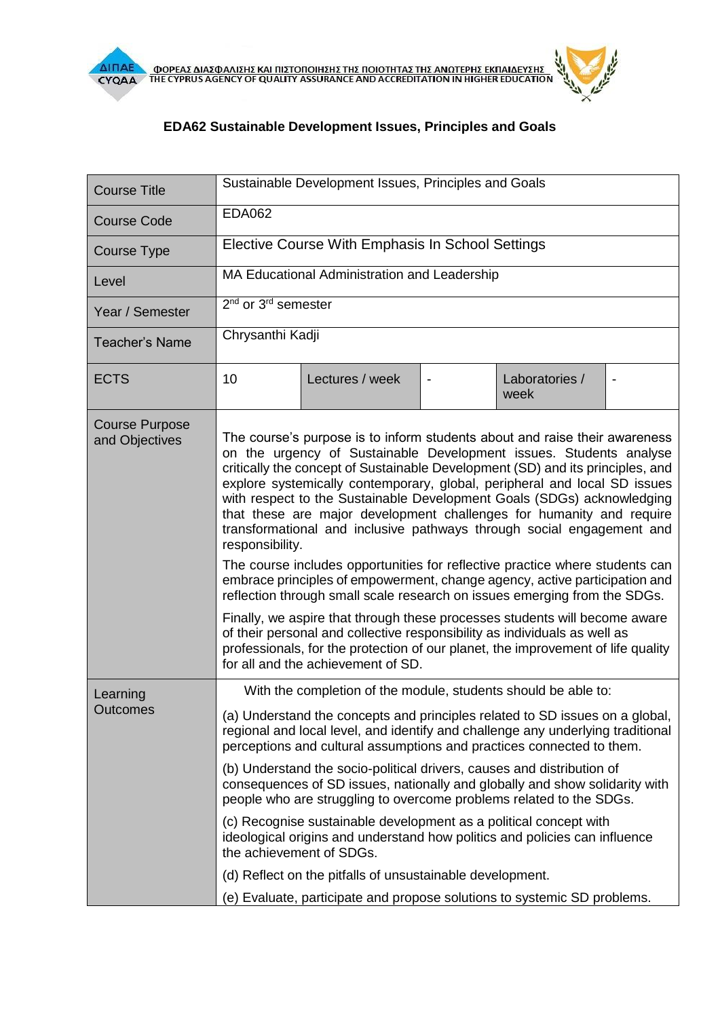

## **EDA62 Sustainable Development Issues, Principles and Goals**

| <b>Course Title</b>                     | Sustainable Development Issues, Principles and Goals                                                                                                                                                                                                                                                                                                                                                                                                                                                                                                                                                                                                                                                                                                                                                                                                                                                                                                                                                                                                                                          |                 |  |                        |                |  |
|-----------------------------------------|-----------------------------------------------------------------------------------------------------------------------------------------------------------------------------------------------------------------------------------------------------------------------------------------------------------------------------------------------------------------------------------------------------------------------------------------------------------------------------------------------------------------------------------------------------------------------------------------------------------------------------------------------------------------------------------------------------------------------------------------------------------------------------------------------------------------------------------------------------------------------------------------------------------------------------------------------------------------------------------------------------------------------------------------------------------------------------------------------|-----------------|--|------------------------|----------------|--|
| <b>Course Code</b>                      | <b>EDA062</b>                                                                                                                                                                                                                                                                                                                                                                                                                                                                                                                                                                                                                                                                                                                                                                                                                                                                                                                                                                                                                                                                                 |                 |  |                        |                |  |
| Course Type                             | Elective Course With Emphasis In School Settings                                                                                                                                                                                                                                                                                                                                                                                                                                                                                                                                                                                                                                                                                                                                                                                                                                                                                                                                                                                                                                              |                 |  |                        |                |  |
| Level                                   | MA Educational Administration and Leadership                                                                                                                                                                                                                                                                                                                                                                                                                                                                                                                                                                                                                                                                                                                                                                                                                                                                                                                                                                                                                                                  |                 |  |                        |                |  |
| Year / Semester                         | $2nd$ or $3rd$ semester                                                                                                                                                                                                                                                                                                                                                                                                                                                                                                                                                                                                                                                                                                                                                                                                                                                                                                                                                                                                                                                                       |                 |  |                        |                |  |
| <b>Teacher's Name</b>                   | Chrysanthi Kadji                                                                                                                                                                                                                                                                                                                                                                                                                                                                                                                                                                                                                                                                                                                                                                                                                                                                                                                                                                                                                                                                              |                 |  |                        |                |  |
| <b>ECTS</b>                             | 10                                                                                                                                                                                                                                                                                                                                                                                                                                                                                                                                                                                                                                                                                                                                                                                                                                                                                                                                                                                                                                                                                            | Lectures / week |  | Laboratories /<br>week | $\blacksquare$ |  |
| <b>Course Purpose</b><br>and Objectives | The course's purpose is to inform students about and raise their awareness<br>on the urgency of Sustainable Development issues. Students analyse<br>critically the concept of Sustainable Development (SD) and its principles, and<br>explore systemically contemporary, global, peripheral and local SD issues<br>with respect to the Sustainable Development Goals (SDGs) acknowledging<br>that these are major development challenges for humanity and require<br>transformational and inclusive pathways through social engagement and<br>responsibility.<br>The course includes opportunities for reflective practice where students can<br>embrace principles of empowerment, change agency, active participation and<br>reflection through small scale research on issues emerging from the SDGs.<br>Finally, we aspire that through these processes students will become aware<br>of their personal and collective responsibility as individuals as well as<br>professionals, for the protection of our planet, the improvement of life quality<br>for all and the achievement of SD. |                 |  |                        |                |  |
| Learning<br>Outcomes                    | With the completion of the module, students should be able to:<br>(a) Understand the concepts and principles related to SD issues on a global,<br>regional and local level, and identify and challenge any underlying traditional<br>perceptions and cultural assumptions and practices connected to them.<br>(b) Understand the socio-political drivers, causes and distribution of<br>consequences of SD issues, nationally and globally and show solidarity with<br>people who are struggling to overcome problems related to the SDGs.<br>(c) Recognise sustainable development as a political concept with<br>ideological origins and understand how politics and policies can influence<br>the achievement of SDGs.<br>(d) Reflect on the pitfalls of unsustainable development.<br>(e) Evaluate, participate and propose solutions to systemic SD problems.                                                                                                                                                                                                                            |                 |  |                        |                |  |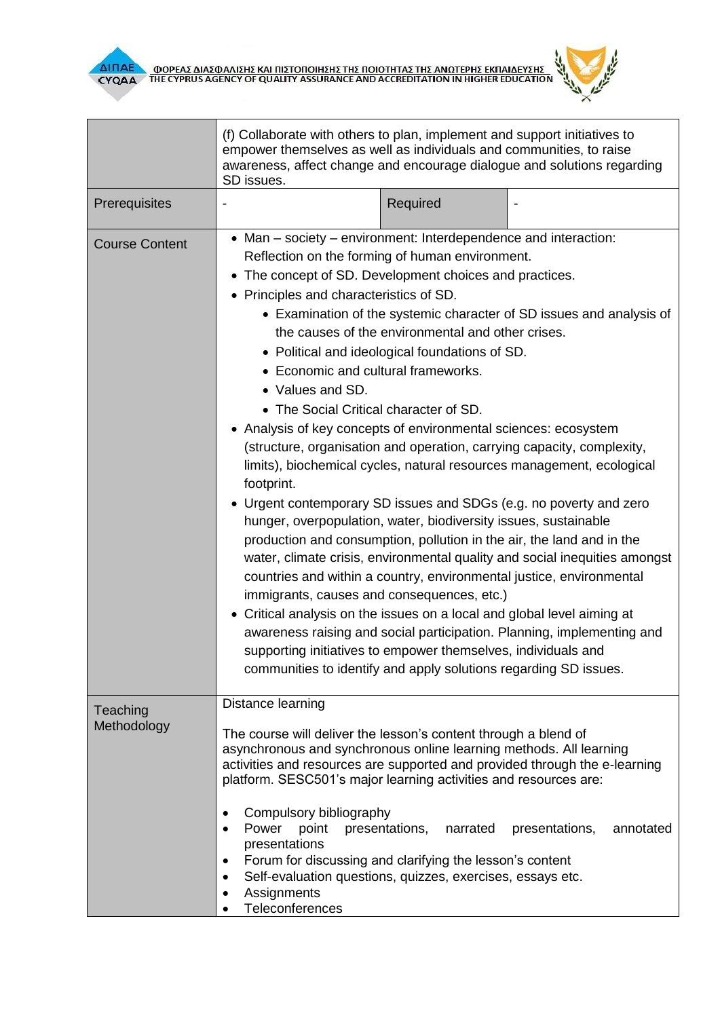

П

Г



٦

|                         | (f) Collaborate with others to plan, implement and support initiatives to<br>empower themselves as well as individuals and communities, to raise<br>awareness, affect change and encourage dialogue and solutions regarding                                                                                                                                                                                                                                                                                                                                                                                                                                                                                                                                                                                                                                                                                                                                                                                                                                                                                                                                                                                                                                                                                |          |                                                                                                                                                    |  |
|-------------------------|------------------------------------------------------------------------------------------------------------------------------------------------------------------------------------------------------------------------------------------------------------------------------------------------------------------------------------------------------------------------------------------------------------------------------------------------------------------------------------------------------------------------------------------------------------------------------------------------------------------------------------------------------------------------------------------------------------------------------------------------------------------------------------------------------------------------------------------------------------------------------------------------------------------------------------------------------------------------------------------------------------------------------------------------------------------------------------------------------------------------------------------------------------------------------------------------------------------------------------------------------------------------------------------------------------|----------|----------------------------------------------------------------------------------------------------------------------------------------------------|--|
|                         | SD issues.                                                                                                                                                                                                                                                                                                                                                                                                                                                                                                                                                                                                                                                                                                                                                                                                                                                                                                                                                                                                                                                                                                                                                                                                                                                                                                 |          |                                                                                                                                                    |  |
| Prerequisites           |                                                                                                                                                                                                                                                                                                                                                                                                                                                                                                                                                                                                                                                                                                                                                                                                                                                                                                                                                                                                                                                                                                                                                                                                                                                                                                            | Required |                                                                                                                                                    |  |
| <b>Course Content</b>   | • Man – society – environment: Interdependence and interaction:<br>Reflection on the forming of human environment.<br>• The concept of SD. Development choices and practices.<br>• Principles and characteristics of SD.<br>the causes of the environmental and other crises.<br>• Political and ideological foundations of SD.<br>• Economic and cultural frameworks.<br>• Values and SD.<br>• The Social Critical character of SD.<br>• Analysis of key concepts of environmental sciences: ecosystem<br>(structure, organisation and operation, carrying capacity, complexity,<br>limits), biochemical cycles, natural resources management, ecological<br>footprint.<br>• Urgent contemporary SD issues and SDGs (e.g. no poverty and zero<br>hunger, overpopulation, water, biodiversity issues, sustainable<br>production and consumption, pollution in the air, the land and in the<br>countries and within a country, environmental justice, environmental<br>immigrants, causes and consequences, etc.)<br>• Critical analysis on the issues on a local and global level aiming at<br>awareness raising and social participation. Planning, implementing and<br>supporting initiatives to empower themselves, individuals and<br>communities to identify and apply solutions regarding SD issues. |          | • Examination of the systemic character of SD issues and analysis of<br>water, climate crisis, environmental quality and social inequities amongst |  |
| Teaching<br>Methodology | Distance learning<br>The course will deliver the lesson's content through a blend of<br>asynchronous and synchronous online learning methods. All learning<br>activities and resources are supported and provided through the e-learning<br>platform. SESC501's major learning activities and resources are:<br>Compulsory bibliography<br>٠<br>Power<br>point<br>presentations,<br>$\bullet$<br>presentations<br>Forum for discussing and clarifying the lesson's content<br>٠<br>Self-evaluation questions, quizzes, exercises, essays etc.<br>$\bullet$<br>Assignments<br>Teleconferences                                                                                                                                                                                                                                                                                                                                                                                                                                                                                                                                                                                                                                                                                                               | narrated | presentations,<br>annotated                                                                                                                        |  |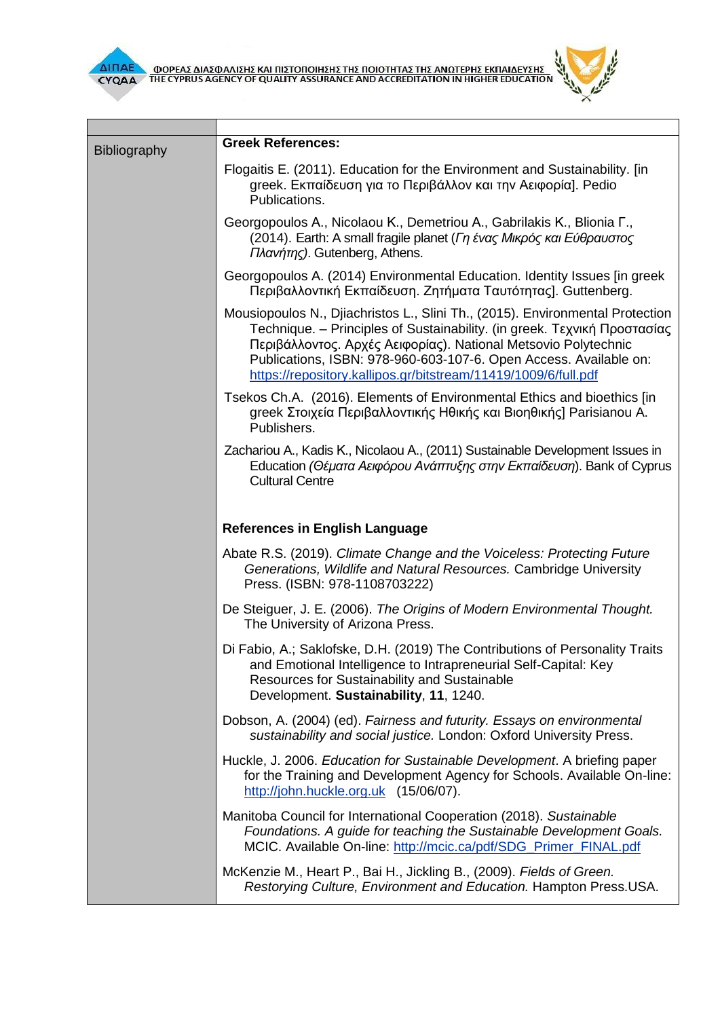

 $\mathcal{L}(\mathcal{A})$ 

Г



J.

| <b>Bibliography</b> | <b>Greek References:</b>                                                                                                                                                                                                                                                                                                                                           |  |  |  |
|---------------------|--------------------------------------------------------------------------------------------------------------------------------------------------------------------------------------------------------------------------------------------------------------------------------------------------------------------------------------------------------------------|--|--|--|
|                     | Flogaitis E. (2011). Education for the Environment and Sustainability. [in]<br>greek. Εκπαίδευση για το Περιβάλλον και την Αειφορία]. Pedio<br>Publications.                                                                                                                                                                                                       |  |  |  |
|                     | Georgopoulos A., Nicolaou K., Demetriou A., Gabrilakis K., Blionia F.,<br>(2014). Earth: A small fragile planet (Γη ένας Μικρός και Εύθραυστος<br>Πλανήτης). Gutenberg, Athens.                                                                                                                                                                                    |  |  |  |
|                     | Georgopoulos A. (2014) Environmental Education. Identity Issues [in greek<br>Περιβαλλοντική Εκπαίδευση. Ζητήματα Ταυτότητας]. Guttenberg.                                                                                                                                                                                                                          |  |  |  |
|                     | Mousiopoulos N., Djiachristos L., Slini Th., (2015). Environmental Protection<br>Technique. - Principles of Sustainability. (in greek. Τεχνική Προστασίας<br>Περιβάλλοντος. Αρχές Αειφορίας). National Metsovio Polytechnic<br>Publications, ISBN: 978-960-603-107-6. Open Access. Available on:<br>https://repository.kallipos.gr/bitstream/11419/1009/6/full.pdf |  |  |  |
|                     | Tsekos Ch.A. (2016). Elements of Environmental Ethics and bioethics [in<br>greek Στοιχεία Περιβαλλοντικής Ηθικής και Βιοηθικής] Parisianou A.<br>Publishers.                                                                                                                                                                                                       |  |  |  |
|                     | Zachariou A., Kadis K., Nicolaou A., (2011) Sustainable Development Issues in<br>Education (Θέματα Αειφόρου Ανάπτυξης στην Εκπαίδευση). Bank of Cyprus<br><b>Cultural Centre</b>                                                                                                                                                                                   |  |  |  |
|                     | <b>References in English Language</b>                                                                                                                                                                                                                                                                                                                              |  |  |  |
|                     | Abate R.S. (2019). Climate Change and the Voiceless: Protecting Future<br>Generations, Wildlife and Natural Resources. Cambridge University<br>Press. (ISBN: 978-1108703222)                                                                                                                                                                                       |  |  |  |
|                     | De Steiguer, J. E. (2006). The Origins of Modern Environmental Thought.<br>The University of Arizona Press.                                                                                                                                                                                                                                                        |  |  |  |
|                     | Di Fabio, A.; Saklofske, D.H. (2019) The Contributions of Personality Traits<br>and Emotional Intelligence to Intrapreneurial Self-Capital: Key<br>Resources for Sustainability and Sustainable<br>Development. Sustainability, 11, 1240.                                                                                                                          |  |  |  |
|                     | Dobson, A. (2004) (ed). Fairness and futurity. Essays on environmental<br>sustainability and social justice. London: Oxford University Press.                                                                                                                                                                                                                      |  |  |  |
|                     | Huckle, J. 2006. Education for Sustainable Development. A briefing paper<br>for the Training and Development Agency for Schools. Available On-line:<br>http://john.huckle.org.uk (15/06/07).                                                                                                                                                                       |  |  |  |
|                     | Manitoba Council for International Cooperation (2018). Sustainable<br>Foundations. A guide for teaching the Sustainable Development Goals.<br>MCIC. Available On-line: http://mcic.ca/pdf/SDG_Primer_FINAL.pdf                                                                                                                                                     |  |  |  |
|                     | McKenzie M., Heart P., Bai H., Jickling B., (2009). Fields of Green.<br>Restorying Culture, Environment and Education. Hampton Press.USA.                                                                                                                                                                                                                          |  |  |  |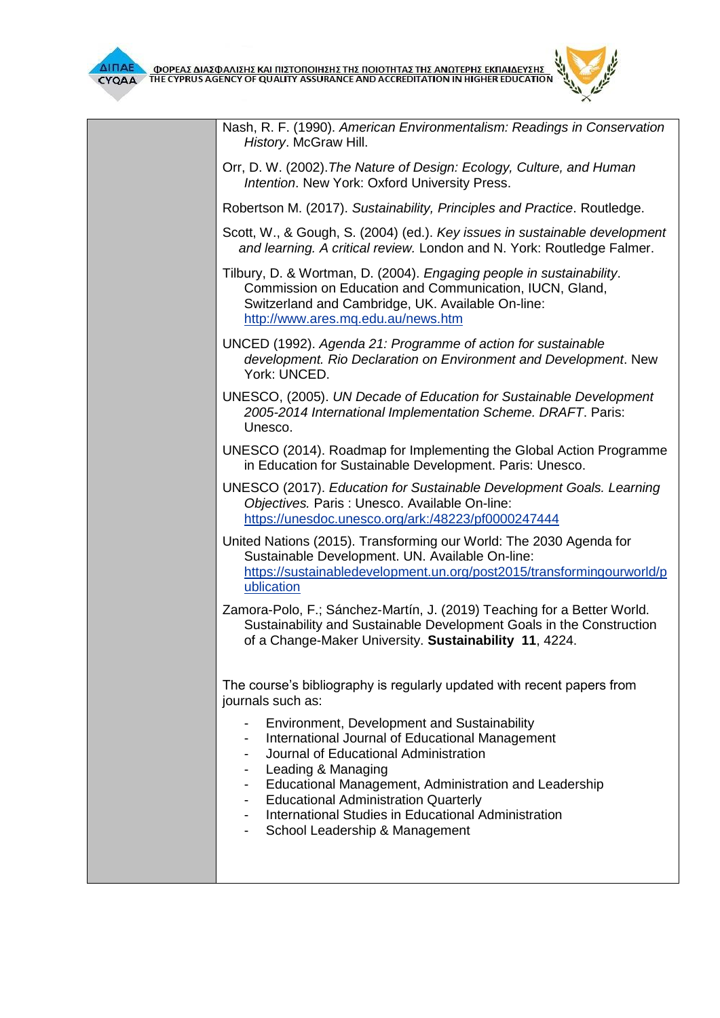